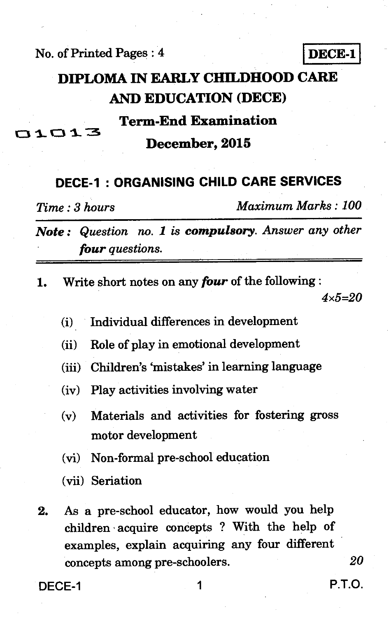**No. of Printed Pages : 4 I DECE-1** 

# **DIPLOMA IN EARLY CHILDHOOD CARE AND EDUCATION (DECE)**

# **Term-End Examination December, 2015**

### **DECE-1 : ORGANISING CHILD CARE SERVICES**

**s\_** 

*Time : 3 hours Maximum Marks : 100* 

*Note : Question no. 1 is compulsory. Answer any other four questions.* 

**1. Write short notes on any** *four* **of the following :** 

*4x5=20* 

- **(i) Individual differences in development**
- **(ii) Role of play in emotional development**
- **(iii) Children's 'mistakes' in learning language**
- **(iv) Play activities involving water**
- **(v) Materials and activities for fostering gross motor development**
- **(vi) Non-formal pre-school education**
- **(vii) Seriation**
- **2. As a pre-school educator, how would you help children acquire concepts ? With the help of examples, explain acquiring any four different concepts among pre-schoolers.** *20*

**DECE-1 1 P.T.O.**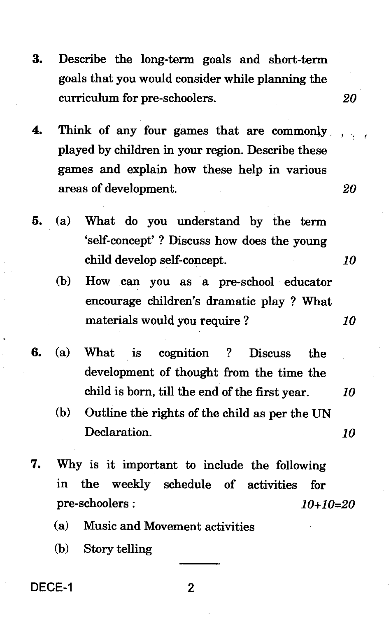- **3. Describe the long-term goals and short-term goals that you would consider while planning the curriculum for pre-schoolers. 20**
- **4. Think of any four games that are commonly played by children in your region. Describe these games and explain how these help in various areas of development. 20**
- **5. (a) What do you understand by the term `self-concept' ? Discuss how does the young child develop self-concept. 10** 
	- **(b) How can you as a pre-school educator encourage children's dramatic play ? What materials would you require ? 10**
- **6. (a) What is cognition ? Discuss the development of thought from the time the child is born, till the end of the first year. 10** 
	- **(b) Outline the rights of the child as per the UN Declaration. 10**
- **7. Why is it important to include the following in the weekly schedule of activities for pre-schoolers : 10+10=20** 
	- **(a) Music and Movement activities**
	- **(b) Story telling**

**DECE-1 2**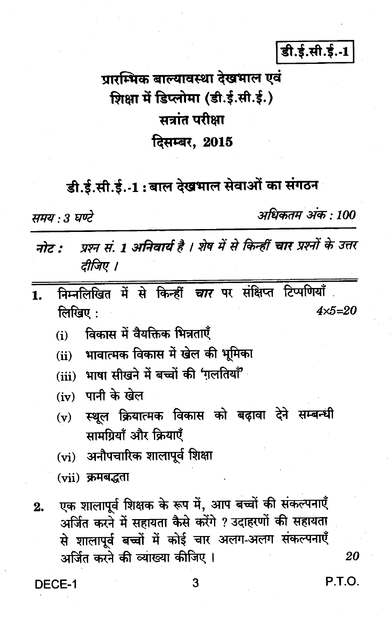डी.ई.सी.ई.-1

# प्रारम्भिक बाल्यावस्था देखभाल एवं शिक्षा में डिप्लोमा (डी.ई.सी.ई.) सत्रांत परीक्षा दिसम्बर. 2015

# डी.ई.सी.ई.-1: बाल देखभाल सेवाओं का संगठन

समय : 3 घण्टे

अधिकतम अंक : 100

- प्रश्न सं. 1 अनिवार्य है । शेष में से किन्हीं चार प्रश्नों के उत्तर नोट : टीजिए ।
- निम्नलिखित में से किन्हीं चार पर संक्षिप्त टिप्पणियाँ  $\mathbf{1}$ . लिखिए $:$  $4x5=20$ 
	- विकास में वैयक्तिक भिन्नताएँ  $(i)$
	- (ii) भावात्मक विकास में खेल की भूमिका
	- (iii) भाषा सीखने में बच्चों की 'गलतियाँ'
	- $(iv)$  पानी के खेल
	- (v) स्थूल क्रियात्मक विकास को बढ़ावा देने सम्बन्धी सामग्रियाँ और क्रियाएँ
	- (vi) अनौपचारिक शालापूर्व शिक्षा
	- $(vii)$  क्रमबद्धता
- एक शालापूर्व शिक्षक के रूप में, आप बच्चों की संकल्पनाएँ  $2.$ अर्जित करने में सहायता कैसे करेंगे ? उदाहरणों की सहायता से शालापूर्व बच्चों में कोई चार अलग-अलग संकल्पनाएँ अर्जित करने की व्याख्या कीजिए ।

20

DECE-1